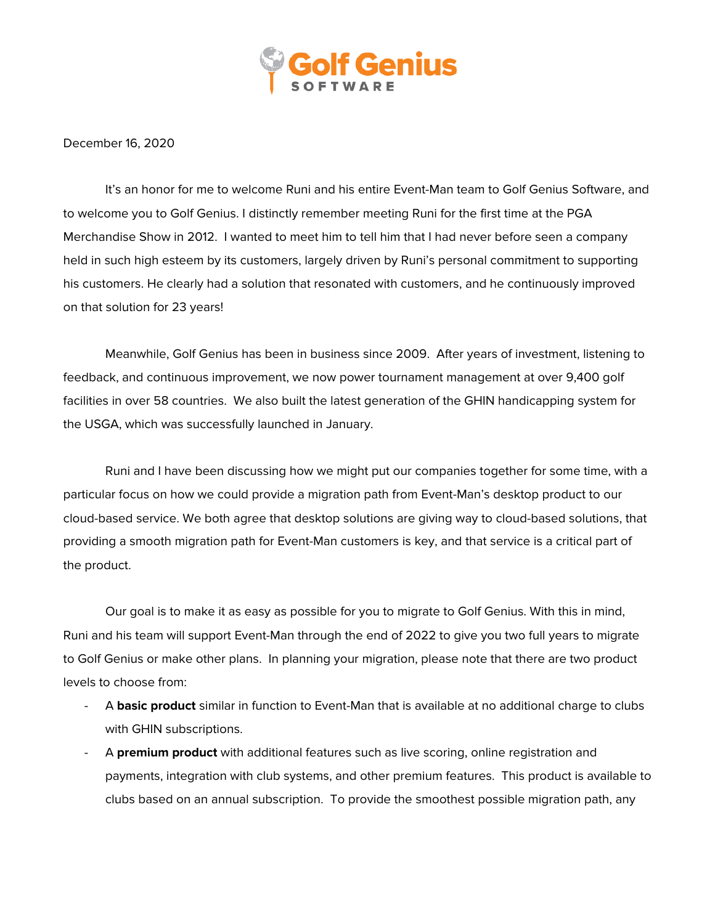

December 16, 2020

It's an honor for me to welcome Runi and his entire Event-Man team to Golf Genius Software, and to welcome you to Golf Genius. I distinctly remember meeting Runi for the first time at the PGA Merchandise Show in 2012. I wanted to meet him to tell him that I had never before seen a company held in such high esteem by its customers, largely driven by Runi's personal commitment to supporting his customers. He clearly had a solution that resonated with customers, and he continuously improved on that solution for 23 years!

Meanwhile, Golf Genius has been in business since 2009. After years of investment, listening to feedback, and continuous improvement, we now power tournament management at over 9,400 golf facilities in over 58 countries. We also built the latest generation of the GHIN handicapping system for the USGA, which was successfully launched in January.

Runi and I have been discussing how we might put our companies together for some time, with a particular focus on how we could provide a migration path from Event-Man's desktop product to our cloud-based service. We both agree that desktop solutions are giving way to cloud-based solutions, that providing a smooth migration path for Event-Man customers is key, and that service is a critical part of the product.

Our goal is to make it as easy as possible for you to migrate to Golf Genius. With this in mind, Runi and his team will support Event-Man through the end of 2022 to give you two full years to migrate to Golf Genius or make other plans. In planning your migration, please note that there are two product levels to choose from:

- A **basic product** similar in function to Event-Man that is available at no additional charge to clubs with GHIN subscriptions.
- A **premium product** with additional features such as live scoring, online registration and payments, integration with club systems, and other premium features. This product is available to clubs based on an annual subscription. To provide the smoothest possible migration path, any